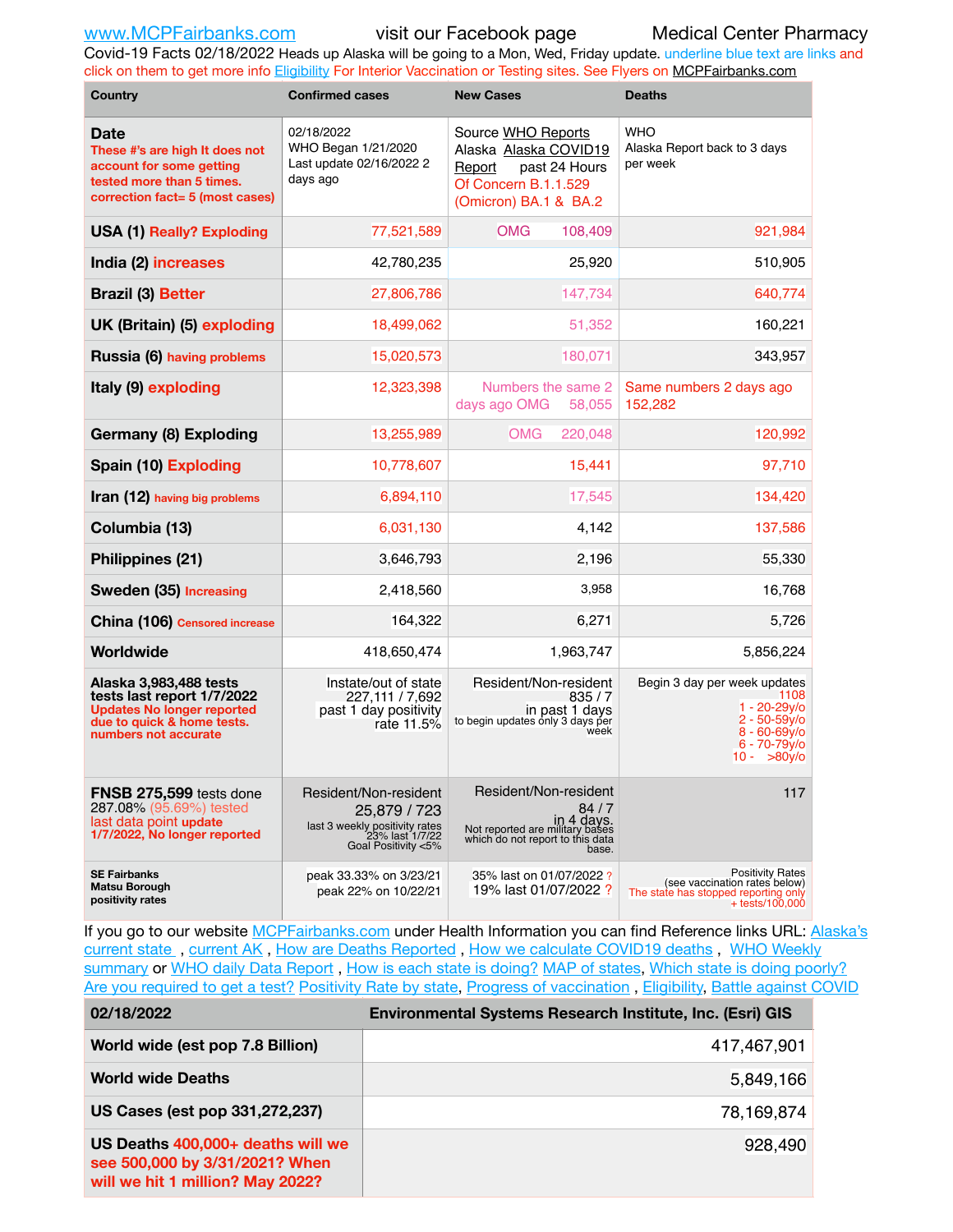Covid-19 Facts 02/18/2022 Heads up Alaska will be going to a Mon, Wed, Friday update. underline blue text are links and click on them to get more info [Eligibility](http://dhss.alaska.gov/dph/Epi/id/Pages/COVID-19/VaccineAvailability.aspx) For Interior Vaccination or Testing sites. See Flyers on [MCPFairbanks.com](http://www.MCPFairbanks.com)

| <b>Country</b>                                                                                                                                  | <b>Confirmed cases</b>                                                                                            | <b>New Cases</b>                                                                                                              | <b>Deaths</b>                                                                                                                         |  |  |  |
|-------------------------------------------------------------------------------------------------------------------------------------------------|-------------------------------------------------------------------------------------------------------------------|-------------------------------------------------------------------------------------------------------------------------------|---------------------------------------------------------------------------------------------------------------------------------------|--|--|--|
| <b>Date</b><br>These #'s are high It does not<br>account for some getting<br>tested more than 5 times.<br>correction fact= 5 (most cases)       | 02/18/2022<br>WHO Began 1/21/2020<br>Last update 02/16/2022 2<br>days ago                                         | Source WHO Reports<br>Alaska Alaska COVID19<br>past 24 Hours<br>Report<br>Of Concern B.1.1.529<br>(Omicron) BA.1 & BA.2       | <b>WHO</b><br>Alaska Report back to 3 days<br>per week                                                                                |  |  |  |
| <b>USA (1) Really? Exploding</b>                                                                                                                | 77,521,589                                                                                                        | <b>OMG</b><br>108,409                                                                                                         | 921,984                                                                                                                               |  |  |  |
| India (2) increases                                                                                                                             | 42,780,235                                                                                                        | 25,920                                                                                                                        | 510,905                                                                                                                               |  |  |  |
| <b>Brazil (3) Better</b>                                                                                                                        | 27,806,786                                                                                                        | 147,734                                                                                                                       | 640,774                                                                                                                               |  |  |  |
| UK (Britain) (5) exploding                                                                                                                      | 18,499,062                                                                                                        | 51,352                                                                                                                        | 160,221                                                                                                                               |  |  |  |
| Russia (6) having problems                                                                                                                      | 15,020,573                                                                                                        | 180,071                                                                                                                       | 343,957                                                                                                                               |  |  |  |
| Italy (9) exploding                                                                                                                             | 12,323,398                                                                                                        | Numbers the same 2<br>days ago OMG<br>58,055                                                                                  | Same numbers 2 days ago<br>152,282                                                                                                    |  |  |  |
| <b>Germany (8) Exploding</b>                                                                                                                    | 13,255,989                                                                                                        | 220,048<br><b>OMG</b>                                                                                                         | 120,992                                                                                                                               |  |  |  |
| Spain (10) Exploding                                                                                                                            | 10,778,607                                                                                                        | 15,441                                                                                                                        | 97,710                                                                                                                                |  |  |  |
| Iran (12) having big problems                                                                                                                   | 6,894,110                                                                                                         | 17,545                                                                                                                        | 134,420                                                                                                                               |  |  |  |
| Columbia (13)                                                                                                                                   | 6,031,130                                                                                                         | 4,142                                                                                                                         | 137,586                                                                                                                               |  |  |  |
| Philippines (21)                                                                                                                                | 3,646,793                                                                                                         | 2,196                                                                                                                         | 55,330                                                                                                                                |  |  |  |
| Sweden (35) Increasing                                                                                                                          | 2,418,560                                                                                                         | 3,958                                                                                                                         | 16,768                                                                                                                                |  |  |  |
| China (106) Censored increase                                                                                                                   | 164,322                                                                                                           | 6,271                                                                                                                         | 5,726                                                                                                                                 |  |  |  |
| Worldwide                                                                                                                                       | 418,650,474                                                                                                       | 1,963,747                                                                                                                     | 5,856,224                                                                                                                             |  |  |  |
| Alaska 3,983,488 tests<br>tests last report 1/7/2022<br><b>Updates No longer reported</b><br>due to quick & home tests.<br>numbers not accurate | Instate/out of state<br>227.111 / 7.692<br>past 1 day positivity<br>rate 11.5%                                    | Resident/Non-resident<br>835/7<br>in past 1 days<br>to begin updates only 3 days per<br>week                                  | Begin 3 day per week updates<br>1108<br>$1 - 20 - 29y$ o<br>$2 - 50 - 59y$ o<br>$8 - 60 - 69y$ o<br>$6 - 70 - 79$ y/o<br>$10 - 80y$ o |  |  |  |
| FNSB 275,599 tests done<br>287.08% (95.69%) tested<br>last data point update<br>1/7/2022, No longer reported                                    | Resident/Non-resident<br>25,879 / 723<br>last 3 weekly positivity rates<br>23% last 1/7/22<br>Goal Positivity <5% | Resident/Non-resident<br>84 / 7<br>in 4 days.<br>Not reported are military bases<br>which do not report to this data<br>base. | 117                                                                                                                                   |  |  |  |
| <b>SE Fairbanks</b><br><b>Matsu Borough</b><br>positivity rates                                                                                 | peak 33.33% on 3/23/21<br>peak 22% on 10/22/21                                                                    | 35% last on 01/07/2022 ?<br>19% last 01/07/2022 ?                                                                             | <b>Positivity Rates</b><br>(see vaccination rates below)<br>The state has stopped reporting only<br>$+$ tests/100,000                 |  |  |  |

If you go to our website [MCPFairbanks.com](http://www.MCPFairbanks.com) under Health Information you can find Reference links URL: Alaska's current state, current AK, [How are Deaths Reported](http://dhss.alaska.gov/dph/Epi/id/Pages/COVID-19/deathcounts.aspx), [How we calculate COVID19 deaths](https://coronavirus-response-alaska-dhss.hub.arcgis.com/search?collection=Document&groupIds=41ccb3344ebc4bd682c74073eba21f42), WHO Weekly [summary](http://www.who.int) or [WHO daily Data Report](https://covid19.who.int/table), [How is each state is doing?](https://www.msn.com/en-us/news/us/state-by-state-coronavirus-news/ar-BB13E1PX?fbclid=IwAR0_OBJH7lSyTN3ug_MsOeFnNgB1orTa9OBgilKJ7dhnwlVvHEsptuKkj1c) [MAP of states,](https://www.nationalgeographic.com/science/graphics/graphic-tracking-coronavirus-infections-us?cmpid=org=ngp::mc=crm-email::src=ngp::cmp=editorial::add=SpecialEdition_20210305&rid=B9A6DF5992658E8E35CE023113CFEA4C) [Which state is doing poorly?](https://bestlifeonline.com/covid-outbreak-your-state/?utm_source=nsltr&utm_medium=email&utm_content=covid-outbreak-your-state&utm_campaign=launch) [Are you required to get a test?](http://dhss.alaska.gov/dph/Epi/id/SiteAssets/Pages/HumanCoV/Whattodoafteryourtest.pdf) [Positivity Rate by state](https://coronavirus.jhu.edu/testing/individual-states/alaska), Progress of vaccination, [Eligibility,](http://dhss.alaska.gov/dph/Epi/id/Pages/COVID-19/VaccineAvailability.aspx) [Battle against COVID](https://www.nationalgeographic.com/science/graphics/graphic-tracking-coronavirus-infections-us?cmpid=org=ngp::mc=crm-email::src=ngp::cmp=editorial::add=SpecialEdition_20210219&rid=B9A6DF5992658E8E35CE023113CFEA4C)

| 02/18/2022                                                                                              | Environmental Systems Research Institute, Inc. (Esri) GIS |
|---------------------------------------------------------------------------------------------------------|-----------------------------------------------------------|
| World wide (est pop 7.8 Billion)                                                                        | 417,467,901                                               |
| <b>World wide Deaths</b>                                                                                | 5,849,166                                                 |
| US Cases (est pop 331,272,237)                                                                          | 78,169,874                                                |
| US Deaths 400,000+ deaths will we<br>see 500,000 by 3/31/2021? When<br>will we hit 1 million? May 2022? | 928,490                                                   |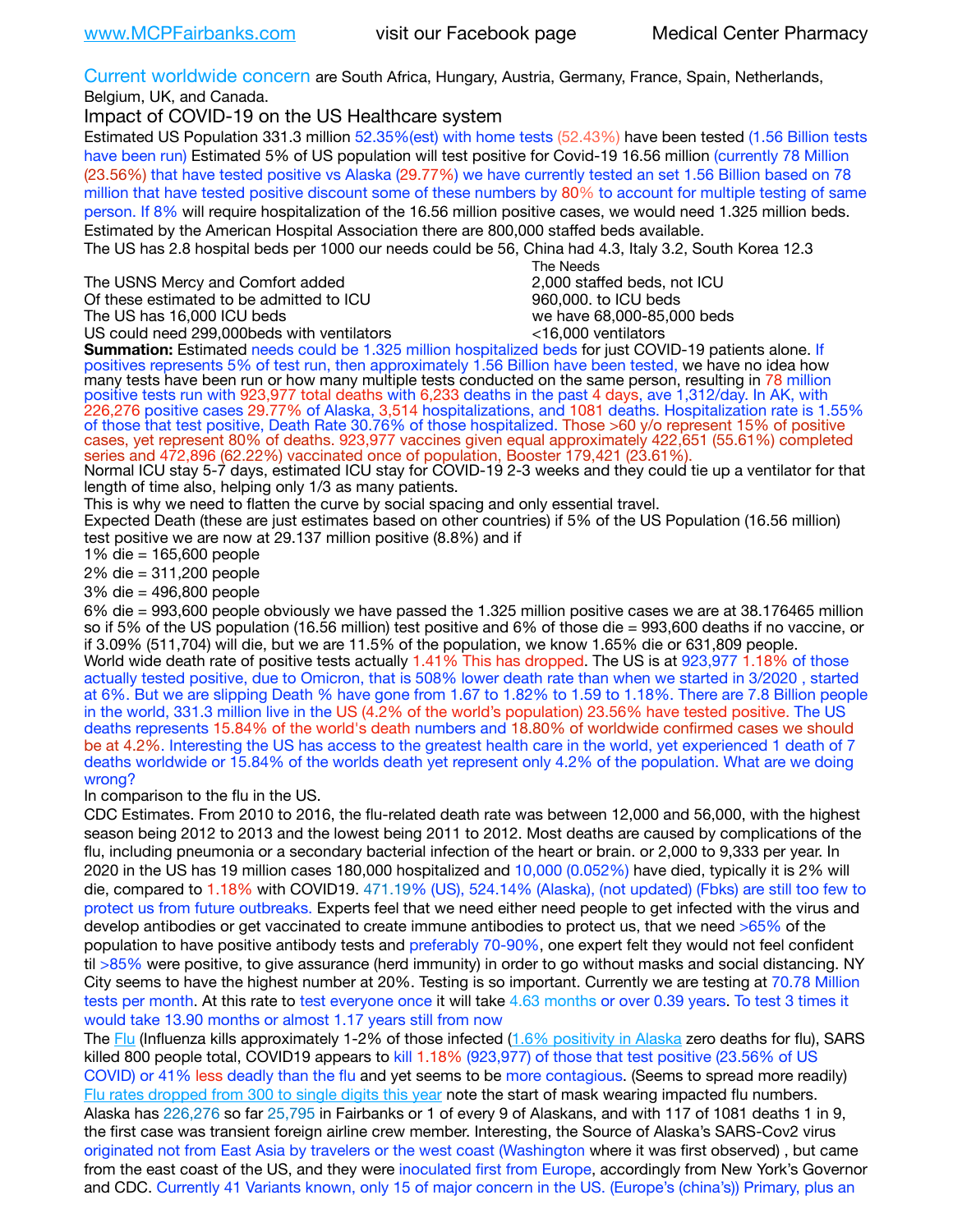Current worldwide concern are South Africa, Hungary, Austria, Germany, France, Spain, Netherlands, Belgium, UK, and Canada.

Impact of COVID-19 on the US Healthcare system

Estimated US Population 331.3 million 52.35%(est) with home tests (52.43%) have been tested (1.56 Billion tests have been run) Estimated 5% of US population will test positive for Covid-19 16.56 million (currently 78 Million (23.56%) that have tested positive vs Alaska (29.77%) we have currently tested an set 1.56 Billion based on 78 million that have tested positive discount some of these numbers by 80% to account for multiple testing of same person. If 8% will require hospitalization of the 16.56 million positive cases, we would need 1.325 million beds. Estimated by the American Hospital Association there are 800,000 staffed beds available. The US has 2.8 hospital beds per 1000 our needs could be 56, China had 4.3, Italy 3.2, South Korea 12.3

The USNS Mercy and Comfort added 2,000 staffed beds, not ICU Of these estimated to be admitted to ICU 860,000. to ICU beds The US has 16,000 ICU beds we have 68,000-85,000 beds

US could need 299,000beds with ventilators  $\leq$ 16,000 ventilators

 The Needs

**Summation:** Estimated needs could be 1.325 million hospitalized beds for just COVID-19 patients alone. If positives represents 5% of test run, then approximately 1.56 Billion have been tested, we have no idea how many tests have been run or how many multiple tests conducted on the same person, resulting in 78 million positive tests run with 923,977 total deaths with 6,233 deaths in the past 4 days, ave 1,312/day. In AK, with 226,276 positive cases 29.77% of Alaska, 3,514 hospitalizations, and 1081 deaths. Hospitalization rate is 1.55% of those that test positive, Death Rate 30.76% of those hospitalized. Those >60 y/o represent 15% of positive cases, yet represent 80% of deaths. 923,977 vaccines given equal approximately 422,651 (55.61%) completed series and 472,896 (62.22%) vaccinated once of population, Booster 179,421 (23.61%).

Normal ICU stay 5-7 days, estimated ICU stay for COVID-19 2-3 weeks and they could tie up a ventilator for that length of time also, helping only 1/3 as many patients.

This is why we need to flatten the curve by social spacing and only essential travel.

Expected Death (these are just estimates based on other countries) if 5% of the US Population (16.56 million) test positive we are now at 29.137 million positive (8.8%) and if

1% die = 165,600 people

2% die = 311,200 people

3% die = 496,800 people

6% die = 993,600 people obviously we have passed the 1.325 million positive cases we are at 38.176465 million so if 5% of the US population (16.56 million) test positive and 6% of those die = 993,600 deaths if no vaccine, or if 3.09% (511,704) will die, but we are 11.5% of the population, we know 1.65% die or 631,809 people. World wide death rate of positive tests actually 1.41% This has dropped. The US is at 923,977 1.18% of those actually tested positive, due to Omicron, that is 508% lower death rate than when we started in 3/2020 , started at 6%. But we are slipping Death % have gone from 1.67 to 1.82% to 1.59 to 1.18%. There are 7.8 Billion people in the world, 331.3 million live in the US (4.2% of the world's population) 23.56% have tested positive. The US deaths represents 15.84% of the world's death numbers and 18.80% of worldwide confirmed cases we should be at 4.2%. Interesting the US has access to the greatest health care in the world, yet experienced 1 death of 7 deaths worldwide or 15.84% of the worlds death yet represent only 4.2% of the population. What are we doing wrong?

In comparison to the flu in the US.

CDC Estimates. From 2010 to 2016, the flu-related death rate was between 12,000 and 56,000, with the highest season being 2012 to 2013 and the lowest being 2011 to 2012. Most deaths are caused by complications of the flu, including pneumonia or a secondary bacterial infection of the heart or brain. or 2,000 to 9,333 per year. In 2020 in the US has 19 million cases 180,000 hospitalized and 10,000 (0.052%) have died, typically it is 2% will die, compared to 1.18% with COVID19. 471.19% (US), 524.14% (Alaska), (not updated) (Fbks) are still too few to protect us from future outbreaks. Experts feel that we need either need people to get infected with the virus and develop antibodies or get vaccinated to create immune antibodies to protect us, that we need >65% of the population to have positive antibody tests and preferably 70-90%, one expert felt they would not feel confident til >85% were positive, to give assurance (herd immunity) in order to go without masks and social distancing. NY City seems to have the highest number at 20%. Testing is so important. Currently we are testing at 70.78 Million tests per month. At this rate to test everyone once it will take 4.63 months or over 0.39 years. To test 3 times it would take 13.90 months or almost 1.17 years still from now

The [Flu](https://lnks.gd/l/eyJhbGciOiJIUzI1NiJ9.eyJidWxsZXRpbl9saW5rX2lkIjoxMDMsInVyaSI6ImJwMjpjbGljayIsImJ1bGxldGluX2lkIjoiMjAyMTAyMjYuMzYwNDA3NTEiLCJ1cmwiOiJodHRwczovL3d3dy5jZGMuZ292L2ZsdS93ZWVrbHkvb3ZlcnZpZXcuaHRtIn0.ePMA_hsZ-pTnhWSyg1gHvHWYTu2XceVOt0JejxvP1WE/s/500544915/br/98428119752-l) (Influenza kills approximately 1-2% of those infected ([1.6% positivity in Alaska](http://dhss.alaska.gov/dph/Epi/id/SiteAssets/Pages/influenza/trends/Snapshot.pdf) zero deaths for flu), SARS killed 800 people total, COVID19 appears to kill 1.18% (923,977) of those that test positive (23.56% of US COVID) or 41% less deadly than the flu and yet seems to be more contagious. (Seems to spread more readily) [Flu rates dropped from 300 to single digits this year](https://lnks.gd/l/eyJhbGciOiJIUzI1NiJ9.eyJidWxsZXRpbl9saW5rX2lkIjoxMDEsInVyaSI6ImJwMjpjbGljayIsImJ1bGxldGluX2lkIjoiMjAyMTAyMjYuMzYwNDA3NTEiLCJ1cmwiOiJodHRwOi8vZGhzcy5hbGFza2EuZ292L2RwaC9FcGkvaWQvUGFnZXMvaW5mbHVlbnphL2ZsdWluZm8uYXNweCJ9.oOe3nt2fww6XpsNhb4FZfmtPfPa-irGaldpkURBJhSo/s/500544915/br/98428119752-l) note the start of mask wearing impacted flu numbers. Alaska has 226,276 so far 25,795 in Fairbanks or 1 of every 9 of Alaskans, and with 117 of 1081 deaths 1 in 9, the first case was transient foreign airline crew member. Interesting, the Source of Alaska's SARS-Cov2 virus originated not from East Asia by travelers or the west coast (Washington where it was first observed) , but came from the east coast of the US, and they were inoculated first from Europe, accordingly from New York's Governor and CDC. Currently 41 Variants known, only 15 of major concern in the US. (Europe's (china's)) Primary, plus an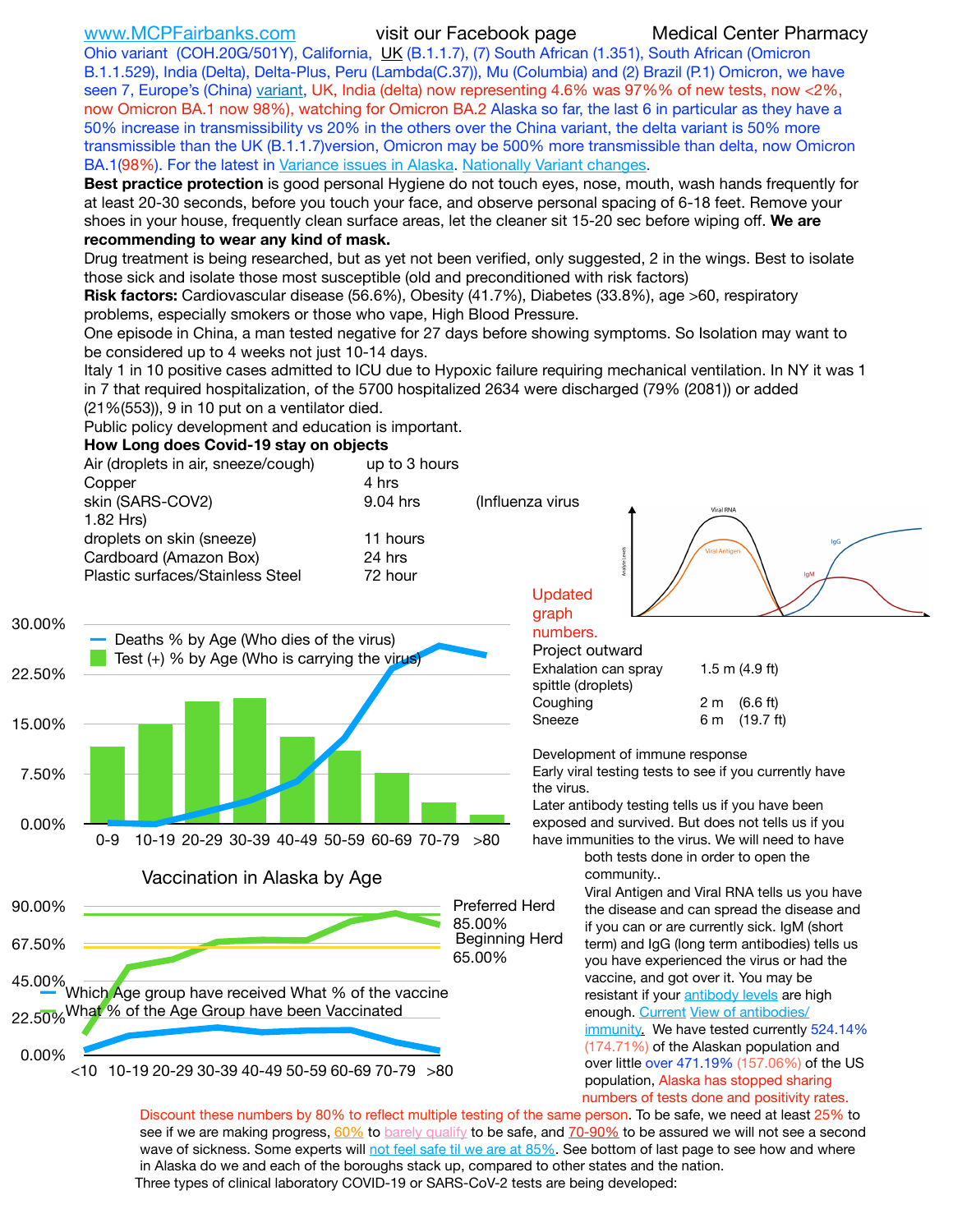Ohio variant (COH.20G/501Y), California, [UK](https://www.cdc.gov/coronavirus/2019-ncov/transmission/variant-cases.html) (B.1.1.7), (7) South African (1.351), South African (Omicron B.1.1.529), India (Delta), Delta-Plus, Peru (Lambda(C.37)), Mu (Columbia) and (2) Brazil (P.1) Omicron, we have seen 7, Europe's (China) [variant,](https://www.webmd.com/lung/news/20210318/cdc-who-create-threat-levels-for-covid-variants?ecd=wnl_cvd_031921&ctr=wnl-cvd-031921&mb=kYbf7DsHb7YGjh/1RUkcAW0T6iorImAU1TDZh18RYs0=_Support_titleLink_2) UK, India (delta) now representing 4.6% was 97%% of new tests, now <2%, now Omicron BA.1 now 98%), watching for Omicron BA.2 Alaska so far, the last 6 in particular as they have a 50% increase in transmissibility vs 20% in the others over the China variant, the delta variant is 50% more transmissible than the UK (B.1.1.7)version, Omicron may be 500% more transmissible than delta, now Omicron BA.1(98%). For the latest in [Variance issues in Alaska.](https://experience.arcgis.com/experience/af2efc8bffbf4cdc83c2d1a134354074/) [Nationally Variant changes](https://covid.cdc.gov/covid-data-tracker/#variant-proportions).

**Best practice protection** is good personal Hygiene do not touch eyes, nose, mouth, wash hands frequently for at least 20-30 seconds, before you touch your face, and observe personal spacing of 6-18 feet. Remove your shoes in your house, frequently clean surface areas, let the cleaner sit 15-20 sec before wiping off. **We are recommending to wear any kind of mask.**

Drug treatment is being researched, but as yet not been verified, only suggested, 2 in the wings. Best to isolate those sick and isolate those most susceptible (old and preconditioned with risk factors)

**Risk factors:** Cardiovascular disease (56.6%), Obesity (41.7%), Diabetes (33.8%), age >60, respiratory problems, especially smokers or those who vape, High Blood Pressure.

One episode in China, a man tested negative for 27 days before showing symptoms. So Isolation may want to be considered up to 4 weeks not just 10-14 days.

Italy 1 in 10 positive cases admitted to ICU due to Hypoxic failure requiring mechanical ventilation. In NY it was 1 in 7 that required hospitalization, of the 5700 hospitalized 2634 were discharged (79% (2081)) or added (21%(553)), 9 in 10 put on a ventilator died.

Public policy development and education is important.

### **How Long does Covid-19 stay on objects**



Discount these numbers by 80% to reflect multiple testing of the same person. To be safe, we need at least 25% to see if we are making progress, [60%](https://www.jhsph.edu/covid-19/articles/achieving-herd-immunity-with-covid19.html) to [barely qualify](https://www.nature.com/articles/d41586-020-02948-4) to be safe, and [70-90%](https://www.mayoclinic.org/herd-immunity-and-coronavirus/art-20486808) to be assured we will not see a second wave of sickness. Some experts will [not feel safe til we are at 85%.](https://www.bannerhealth.com/healthcareblog/teach-me/what-is-herd-immunity) See bottom of last page to see how and where in Alaska do we and each of the boroughs stack up, compared to other states and the nation. Three types of clinical laboratory COVID-19 or SARS-CoV-2 tests are being developed: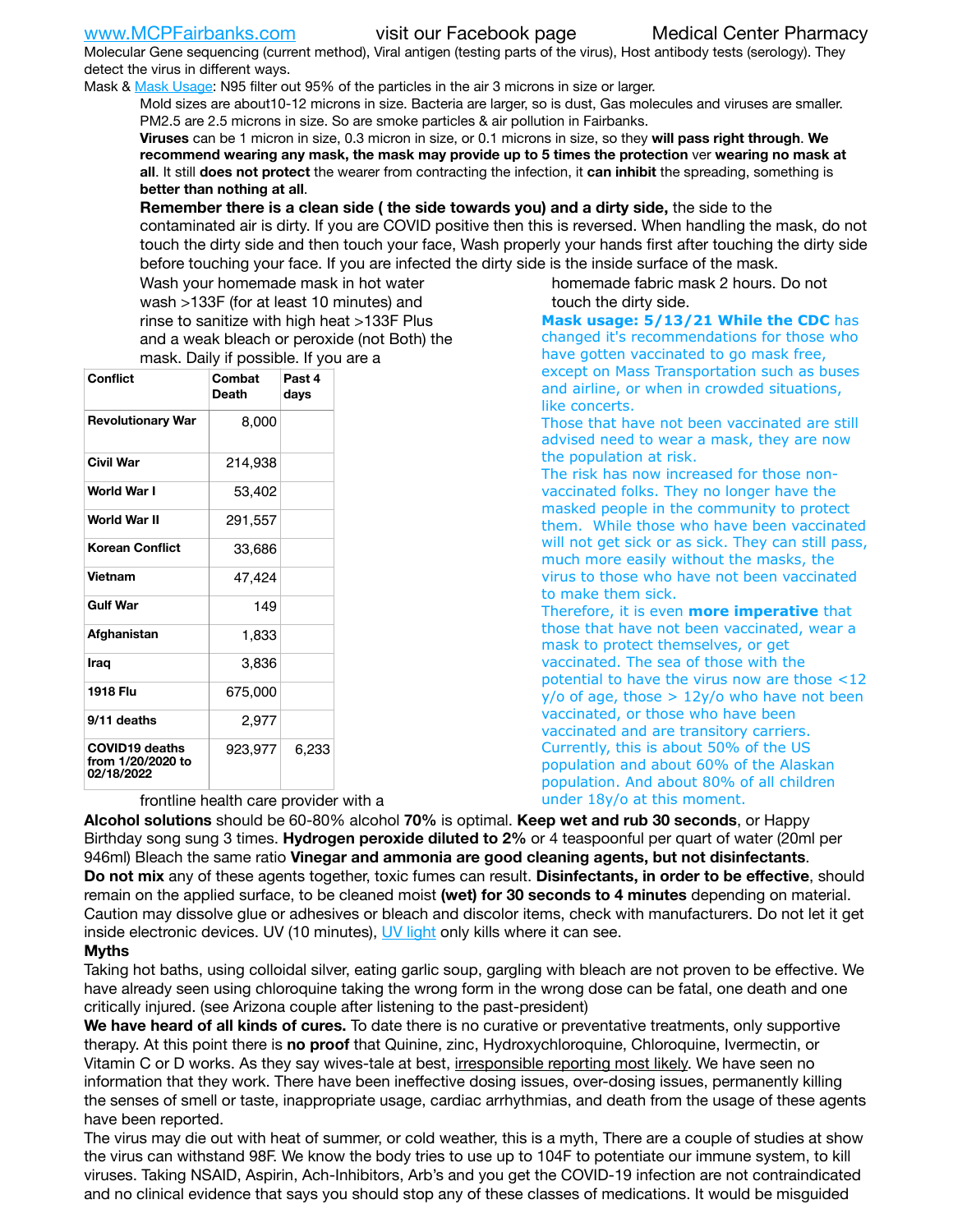Molecular Gene sequencing (current method), Viral antigen (testing parts of the virus), Host antibody tests (serology). They detect the virus in different ways.

Mask & [Mask Usage:](https://www.nationalgeographic.com/history/2020/03/how-cities-flattened-curve-1918-spanish-flu-pandemic-coronavirus/) N95 filter out 95% of the particles in the air 3 microns in size or larger.

Mold sizes are about10-12 microns in size. Bacteria are larger, so is dust, Gas molecules and viruses are smaller. PM2.5 are 2.5 microns in size. So are smoke particles & air pollution in Fairbanks.

**Viruses** can be 1 micron in size, 0.3 micron in size, or 0.1 microns in size, so they **will pass right through**. **We recommend wearing any mask, the mask may provide up to 5 times the protection** ver **wearing no mask at all**. It still **does not protect** the wearer from contracting the infection, it **can inhibit** the spreading, something is **better than nothing at all**.

**Remember there is a clean side ( the side towards you) and a dirty side,** the side to the contaminated air is dirty. If you are COVID positive then this is reversed. When handling the mask, do not touch the dirty side and then touch your face, Wash properly your hands first after touching the dirty side before touching your face. If you are infected the dirty side is the inside surface of the mask.

> homemade fabric mask 2 hours. Do not touch the dirty side.

Wash your homemade mask in hot water wash >133F (for at least 10 minutes) and rinse to sanitize with high heat >133F Plus and a weak bleach or peroxide (not Both) the mask. Daily if possible. If you are a

| <b>Conflict</b>                                          | Combat<br><b>Death</b> | Past 4<br>days |  |  |  |
|----------------------------------------------------------|------------------------|----------------|--|--|--|
| <b>Revolutionary War</b>                                 | 8,000                  |                |  |  |  |
| <b>Civil War</b>                                         | 214,938                |                |  |  |  |
| World War I                                              | 53,402                 |                |  |  |  |
| <b>World War II</b>                                      | 291,557                |                |  |  |  |
| <b>Korean Conflict</b>                                   | 33,686                 |                |  |  |  |
| <b>Vietnam</b>                                           | 47,424                 |                |  |  |  |
| <b>Gulf War</b>                                          | 149                    |                |  |  |  |
| Afghanistan                                              | 1,833                  |                |  |  |  |
| Iraq                                                     | 3,836                  |                |  |  |  |
| 1918 Flu                                                 | 675,000                |                |  |  |  |
| 9/11 deaths                                              | 2,977                  |                |  |  |  |
| <b>COVID19 deaths</b><br>from 1/20/2020 to<br>02/18/2022 | 923,977                | 6,233          |  |  |  |

frontline health care provider with a

**Mask usage: 5/13/21 While the CDC** has changed it's recommendations for those who have gotten vaccinated to go mask free, except on Mass Transportation such as buses and airline, or when in crowded situations, like concerts.

Those that have not been vaccinated are still advised need to wear a mask, they are now the population at risk.

The risk has now increased for those nonvaccinated folks. They no longer have the masked people in the community to protect them. While those who have been vaccinated will not get sick or as sick. They can still pass, much more easily without the masks, the virus to those who have not been vaccinated to make them sick.

Therefore, it is even **more imperative** that those that have not been vaccinated, wear a mask to protect themselves, or get vaccinated. The sea of those with the potential to have the virus now are those <12  $y$ /o of age, those  $> 12y$ /o who have not been vaccinated, or those who have been vaccinated and are transitory carriers. Currently, this is about 50% of the US population and about 60% of the Alaskan population. And about 80% of all children under 18y/o at this moment.

**Alcohol solutions** should be 60-80% alcohol **70%** is optimal. **Keep wet and rub 30 seconds**, or Happy Birthday song sung 3 times. **Hydrogen peroxide diluted to 2%** or 4 teaspoonful per quart of water (20ml per 946ml) Bleach the same ratio **Vinegar and ammonia are good cleaning agents, but not disinfectants**. **Do not mix** any of these agents together, toxic fumes can result. **Disinfectants, in order to be effective**, should remain on the applied surface, to be cleaned moist **(wet) for 30 seconds to 4 minutes** depending on material. Caution may dissolve glue or adhesives or bleach and discolor items, check with manufacturers. Do not let it get inside electronic devices. UV (10 minutes), [UV light](http://www.docreviews.me/best-uv-boxes-2020/?fbclid=IwAR3bvFtXB48OoBBSvYvTEnKuHNPbipxM6jUo82QUSw9wckxjC7wwRZWabGw) only kills where it can see.

## **Myths**

Taking hot baths, using colloidal silver, eating garlic soup, gargling with bleach are not proven to be effective. We have already seen using chloroquine taking the wrong form in the wrong dose can be fatal, one death and one critically injured. (see Arizona couple after listening to the past-president)

**We have heard of all kinds of cures.** To date there is no curative or preventative treatments, only supportive therapy. At this point there is **no proof** that Quinine, zinc, Hydroxychloroquine, Chloroquine, Ivermectin, or Vitamin C or D works. As they say wives-tale at best, irresponsible reporting most likely. We have seen no information that they work. There have been ineffective dosing issues, over-dosing issues, permanently killing the senses of smell or taste, inappropriate usage, cardiac arrhythmias, and death from the usage of these agents have been reported.

The virus may die out with heat of summer, or cold weather, this is a myth, There are a couple of studies at show the virus can withstand 98F. We know the body tries to use up to 104F to potentiate our immune system, to kill viruses. Taking NSAID, Aspirin, Ach-Inhibitors, Arb's and you get the COVID-19 infection are not contraindicated and no clinical evidence that says you should stop any of these classes of medications. It would be misguided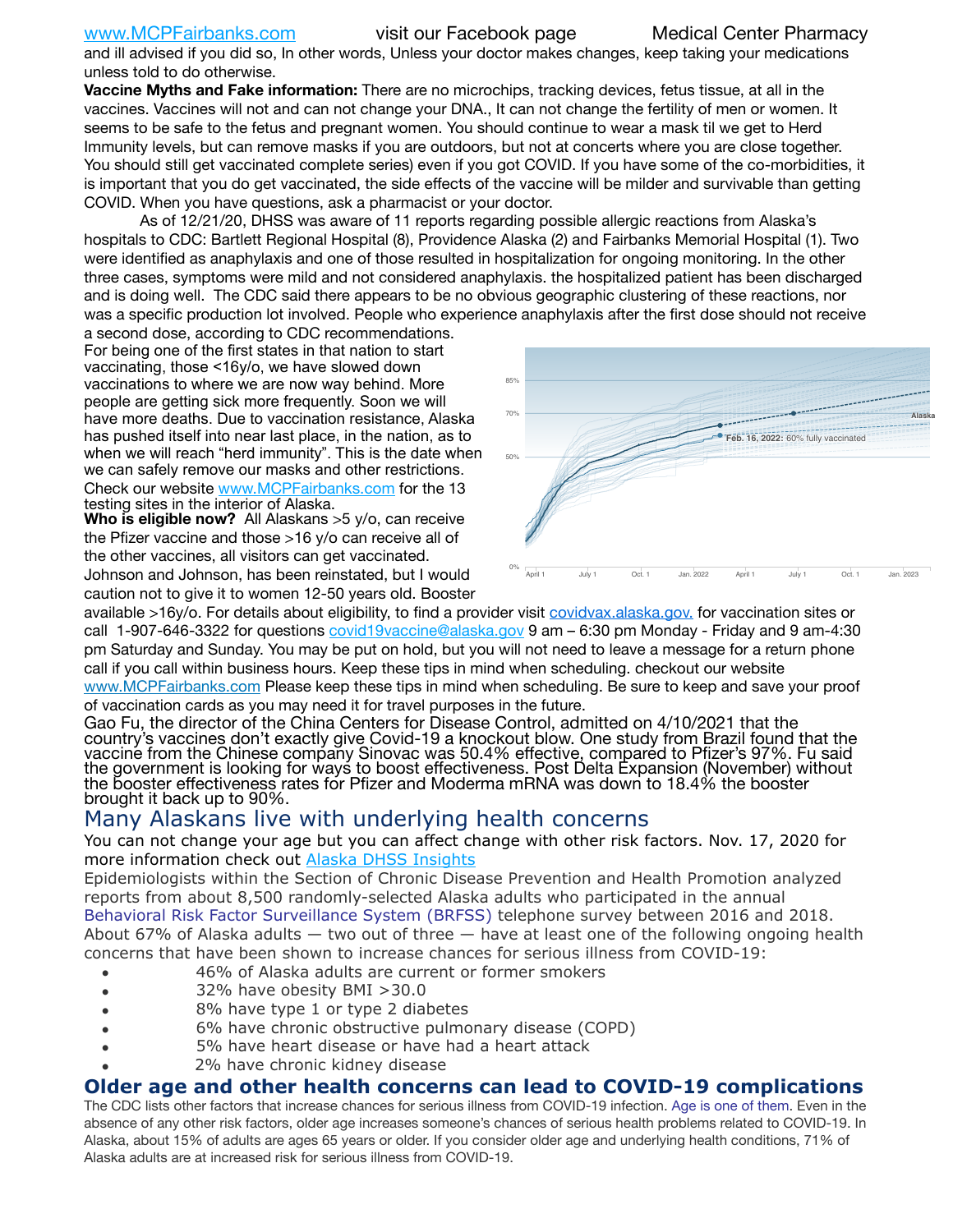and ill advised if you did so, In other words, Unless your doctor makes changes, keep taking your medications unless told to do otherwise.

**Vaccine Myths and Fake information:** There are no microchips, tracking devices, fetus tissue, at all in the vaccines. Vaccines will not and can not change your DNA., It can not change the fertility of men or women. It seems to be safe to the fetus and pregnant women. You should continue to wear a mask til we get to Herd Immunity levels, but can remove masks if you are outdoors, but not at concerts where you are close together. You should still get vaccinated complete series) even if you got COVID. If you have some of the co-morbidities, it is important that you do get vaccinated, the side effects of the vaccine will be milder and survivable than getting COVID. When you have questions, ask a pharmacist or your doctor.

As of 12/21/20, DHSS was aware of 11 reports regarding possible allergic reactions from Alaska's hospitals to CDC: Bartlett Regional Hospital (8), Providence Alaska (2) and Fairbanks Memorial Hospital (1). Two were identified as anaphylaxis and one of those resulted in hospitalization for ongoing monitoring. In the other three cases, symptoms were mild and not considered anaphylaxis. the hospitalized patient has been discharged and is doing well. The CDC said there appears to be no obvious geographic clustering of these reactions, nor was a specific production lot involved. People who experience anaphylaxis after the ffirst dose should not receive

a second dose, according to CDC recommendations. For being one of the first states in that nation to start vaccinating, those <16y/o, we have slowed down vaccinations to where we are now way behind. More people are getting sick more frequently. Soon we will have more deaths. Due to vaccination resistance, Alaska has pushed itself into near last place, in the nation, as to when we will reach "herd immunity". This is the date when we can safely remove our masks and other restrictions. Check our website [www.MCPFairbanks.com](http://www.MCPFairbanks.com) for the 13 testing sites in the interior of Alaska.

**Who is eligible now?** All Alaskans >5 y/o, can receive the Pfizer vaccine and those >16 y/o can receive all of the other vaccines, all visitors can get vaccinated. Johnson and Johnson, has been reinstated, but I would

caution not to give it to women 12-50 years old. Booster



available >16y/o. For details about eligibility, to find a provider visit **covidvax.alaska.gov.** for vaccination sites or call 1-907-646-3322 for questions *covid19vaccine@alaska.gov* 9 am – 6:30 pm Monday - Friday and 9 am-4:30 pm Saturday and Sunday. You may be put on hold, but you will not need to leave a message for a return phone call if you call within business hours. Keep these tips in mind when scheduling. checkout our website [www.MCPFairbanks.com](http://www.MCPFairbanks.com) Please keep these tips in mind when scheduling. Be sure to keep and save your proof of vaccination cards as you may need it for travel purposes in the future.

Gao Fu, the director of the China Centers for Disease Control, admitted on 4/10/2021 that the country's vaccines don't exactly give Covid-19 a knockout blow. One study from Brazil found that the vaccine from the Chinese company Sinovac was 50.4% effective, compared to Pfizer's 97%. Fu said the government is looking for ways to boost effectiveness. Post Delta Expansion (November) without<br>the booster effectiveness rates for Pfizer and Moderma mRNA was down to 18.4% the booster brought it back up to 90%.

# Many Alaskans live with underlying health concerns

You can not change your age but you can affect change with other risk factors. Nov. 17, 2020 for more information check out [Alaska DHSS Insights](http://dhss.alaska.gov/dph/Epi/id/Pages/COVID-19/blog/20201117.aspx)

Epidemiologists within the Section of Chronic Disease Prevention and Health Promotion analyzed reports from about 8,500 randomly-selected Alaska adults who participated in the annual [Behavioral Risk Factor Surveillance System \(BRFSS\)](http://dhss.alaska.gov/dph/Chronic/Pages/brfss/default.aspx) telephone survey between 2016 and 2018. About 67% of Alaska adults — two out of three — have at least one of the following ongoing health concerns that have been shown to increase chances for serious illness from COVID-19:

- 46% of Alaska adults are current or former smokers
- 32% have obesity BMI >30.0
- 8% have type 1 or type 2 diabetes
- 6% have chronic obstructive pulmonary disease (COPD)
- 5% have heart disease or have had a heart attack
- 2% have chronic kidney disease

## **Older age and other health concerns can lead to COVID-19 complications**

The CDC lists other factors that increase chances for serious illness from COVID-19 infection. [Age is one of them](https://www.cdc.gov/coronavirus/2019-ncov/need-extra-precautions/older-adults.html). Even in the absence of any other risk factors, older age increases someone's chances of serious health problems related to COVID-19. In Alaska, about 15% of adults are ages 65 years or older. If you consider older age and underlying health conditions, 71% of Alaska adults are at increased risk for serious illness from COVID-19.